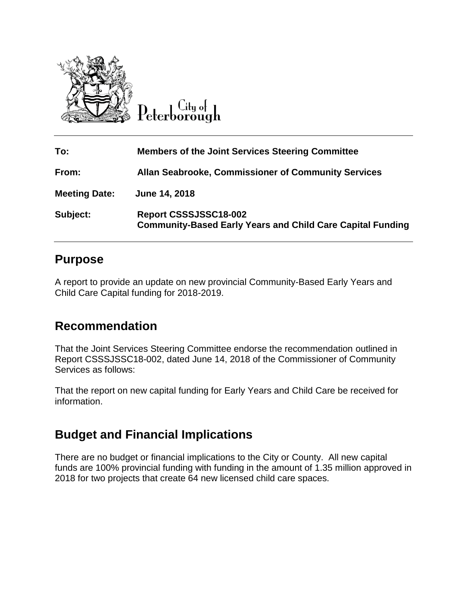

 $C$ ity of Peterborough

| To:                  | <b>Members of the Joint Services Steering Committee</b>                                    |
|----------------------|--------------------------------------------------------------------------------------------|
| From:                | <b>Allan Seabrooke, Commissioner of Community Services</b>                                 |
| <b>Meeting Date:</b> | June 14, 2018                                                                              |
| Subject:             | Report CSSSJSSC18-002<br><b>Community-Based Early Years and Child Care Capital Funding</b> |

#### **Purpose**

A report to provide an update on new provincial Community-Based Early Years and Child Care Capital funding for 2018-2019.

#### **Recommendation**

That the Joint Services Steering Committee endorse the recommendation outlined in Report CSSSJSSC18-002, dated June 14, 2018 of the Commissioner of Community Services as follows:

That the report on new capital funding for Early Years and Child Care be received for information.

## **Budget and Financial Implications**

There are no budget or financial implications to the City or County. All new capital funds are 100% provincial funding with funding in the amount of 1.35 million approved in 2018 for two projects that create 64 new licensed child care spaces.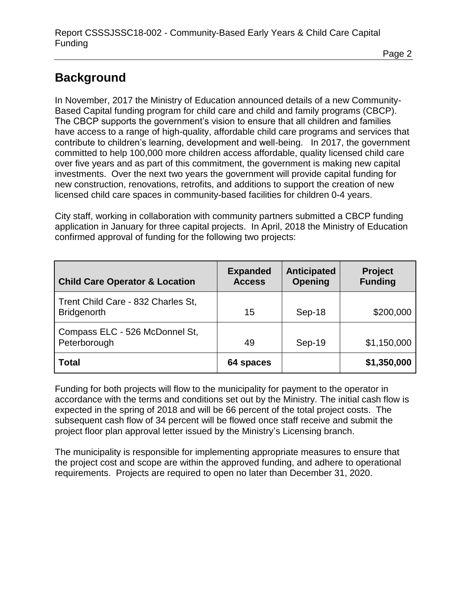### **Background**

In November, 2017 the Ministry of Education announced details of a new Community-Based Capital funding program for child care and child and family programs (CBCP). The CBCP supports the government's vision to ensure that all children and families have access to a range of high-quality, affordable child care programs and services that contribute to children's learning, development and well-being. In 2017, the government committed to help 100,000 more children access affordable, quality licensed child care over five years and as part of this commitment, the government is making new capital investments. Over the next two years the government will provide capital funding for new construction, renovations, retrofits, and additions to support the creation of new licensed child care spaces in community-based facilities for children 0-4 years.

City staff, working in collaboration with community partners submitted a CBCP funding application in January for three capital projects. In April, 2018 the Ministry of Education confirmed approval of funding for the following two projects:

| <b>Child Care Operator &amp; Location</b>                | <b>Expanded</b><br><b>Access</b> | <b>Anticipated</b><br><b>Opening</b> | <b>Project</b><br><b>Funding</b> |
|----------------------------------------------------------|----------------------------------|--------------------------------------|----------------------------------|
| Trent Child Care - 832 Charles St,<br><b>Bridgenorth</b> | 15                               | Sep-18                               | \$200,000                        |
| Compass ELC - 526 McDonnel St,<br>Peterborough           | 49                               | Sep-19                               | \$1,150,000                      |
| <b>Total</b>                                             | 64 spaces                        |                                      | \$1,350,000                      |

Funding for both projects will flow to the municipality for payment to the operator in accordance with the terms and conditions set out by the Ministry. The initial cash flow is expected in the spring of 2018 and will be 66 percent of the total project costs. The subsequent cash flow of 34 percent will be flowed once staff receive and submit the project floor plan approval letter issued by the Ministry's Licensing branch.

The municipality is responsible for implementing appropriate measures to ensure that the project cost and scope are within the approved funding, and adhere to operational requirements. Projects are required to open no later than December 31, 2020.